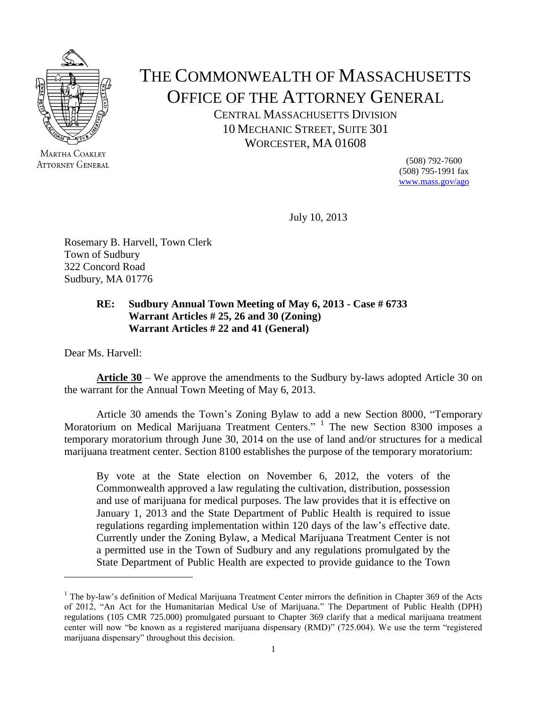

MARTHA COAKLEY **ATTORNEY GENERAL** 

## THE COMMONWEALTH OF MASSACHUSETTS OFFICE OF THE ATTORNEY GENERAL

CENTRAL MASSACHUSETTS DIVISION 10 MECHANIC STREET, SUITE 301 WORCESTER, MA 01608

> (508) 792-7600 (508) 795-1991 fax [www.mass.gov/ago](http://www.mass.gov/ago)

July 10, 2013

Rosemary B. Harvell, Town Clerk Town of Sudbury 322 Concord Road Sudbury, MA 01776

#### **RE: Sudbury Annual Town Meeting of May 6, 2013 - Case # 6733 Warrant Articles # 25, 26 and 30 (Zoning) Warrant Articles # 22 and 41 (General)**

Dear Ms. Harvell:

 $\overline{a}$ 

**Article** 30 – We approve the amendments to the Sudbury by-laws adopted Article 30 on the warrant for the Annual Town Meeting of May 6, 2013.

Article 30 amends the Town's Zoning Bylaw to add a new Section 8000, "Temporary Moratorium on Medical Marijuana Treatment Centers." <sup>1</sup> The new Section 8300 imposes a temporary moratorium through June 30, 2014 on the use of land and/or structures for a medical marijuana treatment center. Section 8100 establishes the purpose of the temporary moratorium:

By vote at the State election on November 6, 2012, the voters of the Commonwealth approved a law regulating the cultivation, distribution, possession and use of marijuana for medical purposes. The law provides that it is effective on January 1, 2013 and the State Department of Public Health is required to issue regulations regarding implementation within 120 days of the law's effective date. Currently under the Zoning Bylaw, a Medical Marijuana Treatment Center is not a permitted use in the Town of Sudbury and any regulations promulgated by the State Department of Public Health are expected to provide guidance to the Town

<sup>&</sup>lt;sup>1</sup> The bv-law's definition of Medical Marijuana Treatment Center mirrors the definition in Chapter 369 of the Acts of 2012, "An Act for the Humanitarian Medical Use of Marijuana." The Department of Public Health (DPH) regulations (105 CMR 725.000) promulgated pursuant to Chapter 369 clarify that a medical marijuana treatment center will now "be known as a registered marijuana dispensary (RMD)" (725.004). We use the term "registered marijuana dispensary" throughout this decision.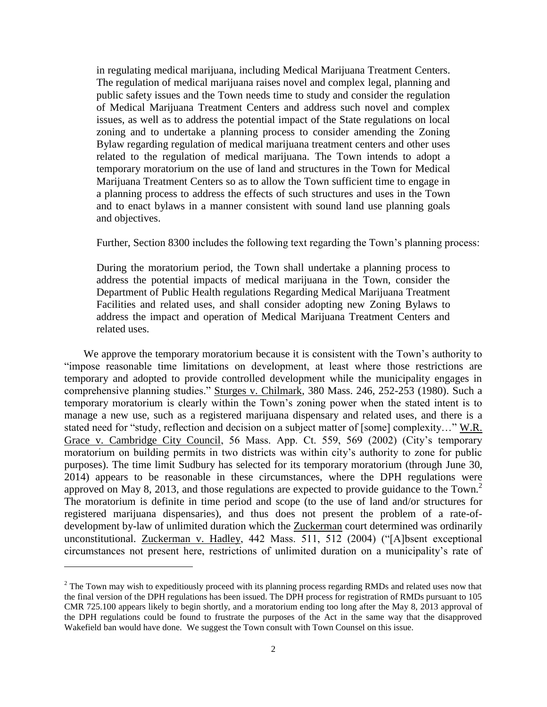in regulating medical marijuana, including Medical Marijuana Treatment Centers. The regulation of medical marijuana raises novel and complex legal, planning and public safety issues and the Town needs time to study and consider the regulation of Medical Marijuana Treatment Centers and address such novel and complex issues, as well as to address the potential impact of the State regulations on local zoning and to undertake a planning process to consider amending the Zoning Bylaw regarding regulation of medical marijuana treatment centers and other uses related to the regulation of medical marijuana. The Town intends to adopt a temporary moratorium on the use of land and structures in the Town for Medical Marijuana Treatment Centers so as to allow the Town sufficient time to engage in a planning process to address the effects of such structures and uses in the Town and to enact bylaws in a manner consistent with sound land use planning goals and objectives.

Further, Section 8300 includes the following text regarding the Town's planning process:

During the moratorium period, the Town shall undertake a planning process to address the potential impacts of medical marijuana in the Town, consider the Department of Public Health regulations Regarding Medical Marijuana Treatment Facilities and related uses, and shall consider adopting new Zoning Bylaws to address the impact and operation of Medical Marijuana Treatment Centers and related uses.

We approve the temporary moratorium because it is consistent with the Town's authority to "impose reasonable time limitations on development, at least where those restrictions are temporary and adopted to provide controlled development while the municipality engages in comprehensive planning studies." Sturges v. Chilmark, 380 Mass. 246, 252-253 (1980). Such a temporary moratorium is clearly within the Town's zoning power when the stated intent is to manage a new use, such as a registered marijuana dispensary and related uses, and there is a stated need for "study, reflection and decision on a subject matter of [some] complexity…" W.R. Grace v. Cambridge City Council, 56 Mass. App. Ct. 559, 569 (2002) (City's temporary moratorium on building permits in two districts was within city's authority to zone for public purposes). The time limit Sudbury has selected for its temporary moratorium (through June 30, 2014) appears to be reasonable in these circumstances, where the DPH regulations were approved on May 8, 2013, and those regulations are expected to provide guidance to the Town.<sup>2</sup> The moratorium is definite in time period and scope (to the use of land and/or structures for registered marijuana dispensaries), and thus does not present the problem of a rate-ofdevelopment by-law of unlimited duration which the Zuckerman court determined was ordinarily unconstitutional. Zuckerman v. Hadley, 442 Mass. 511, 512 (2004) ("[A]bsent exceptional circumstances not present here, restrictions of unlimited duration on a municipality's rate of

 $\overline{a}$ 

 $2$  The Town may wish to expeditiously proceed with its planning process regarding RMDs and related uses now that the final version of the DPH regulations has been issued. The DPH process for registration of RMDs pursuant to 105 CMR 725.100 appears likely to begin shortly, and a moratorium ending too long after the May 8, 2013 approval of the DPH regulations could be found to frustrate the purposes of the Act in the same way that the disapproved Wakefield ban would have done. We suggest the Town consult with Town Counsel on this issue.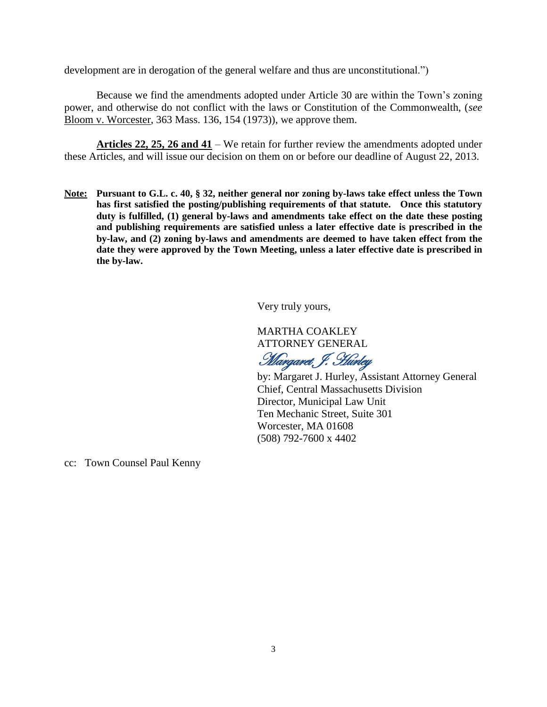development are in derogation of the general welfare and thus are unconstitutional.")

Because we find the amendments adopted under Article 30 are within the Town's zoning power, and otherwise do not conflict with the laws or Constitution of the Commonwealth, (*see* Bloom v. Worcester, 363 Mass. 136, 154 (1973)), we approve them.

**Articles 22, 25, 26 and 41** – We retain for further review the amendments adopted under these Articles, and will issue our decision on them on or before our deadline of August 22, 2013.

**Note: Pursuant to G.L. c. 40, § 32, neither general nor zoning by-laws take effect unless the Town has first satisfied the posting/publishing requirements of that statute. Once this statutory duty is fulfilled, (1) general by-laws and amendments take effect on the date these posting and publishing requirements are satisfied unless a later effective date is prescribed in the by-law, and (2) zoning by-laws and amendments are deemed to have taken effect from the date they were approved by the Town Meeting, unless a later effective date is prescribed in the by-law.**

Very truly yours,

MARTHA COAKLEY ATTORNEY GENERAL

Margaret, J. Hurley

by: Margaret J. Hurley, Assistant Attorney General Chief, Central Massachusetts Division Director, Municipal Law Unit Ten Mechanic Street, Suite 301 Worcester, MA 01608 (508) 792-7600 x 4402

cc: Town Counsel Paul Kenny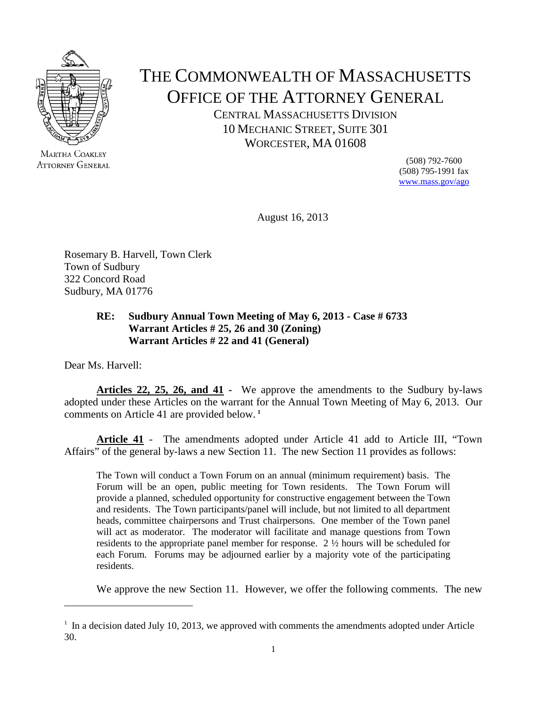

MARTHA COAKLEY **ATTORNEY GENERAL** 

# THE COMMONWEALTH OF MASSACHUSETTS OFFICE OF THE ATTORNEY GENERAL

CENTRAL MASSACHUSETTS DIVISION 10 MECHANIC STREET, SUITE 301 WORCESTER, MA 01608

> (508) 792-7600 (508) 795-1991 fax [www.mass.gov/ago](http://www.mass.gov/ago)

August 16, 2013

Rosemary B. Harvell, Town Clerk Town of Sudbury 322 Concord Road Sudbury, MA 01776

### **RE: Sudbury Annual Town Meeting of May 6, 2013 - Case # 6733 Warrant Articles # 25, 26 and 30 (Zoning) Warrant Articles # 22 and 41 (General)**

Dear Ms. Harvell:

 $\overline{a}$ 

**Articles 22, 25, 26, and 41 -** We approve the amendments to the Sudbury by-laws adopted under these Articles on the warrant for the Annual Town Meeting of May 6, 2013. Our comments on Article 41 are provided below. **[1](#page-3-0)**

**Article 41** - The amendments adopted under Article 41 add to Article III, "Town Affairs" of the general by-laws a new Section 11. The new Section 11 provides as follows:

The Town will conduct a Town Forum on an annual (minimum requirement) basis. The Forum will be an open, public meeting for Town residents. The Town Forum will provide a planned, scheduled opportunity for constructive engagement between the Town and residents. The Town participants/panel will include, but not limited to all department heads, committee chairpersons and Trust chairpersons. One member of the Town panel will act as moderator. The moderator will facilitate and manage questions from Town residents to the appropriate panel member for response. 2 ½ hours will be scheduled for each Forum. Forums may be adjourned earlier by a majority vote of the participating residents.

We approve the new Section 11. However, we offer the following comments. The new

<span id="page-3-0"></span> $<sup>1</sup>$  In a decision dated July 10, 2013, we approved with comments the amendments adopted under Article</sup> 30.